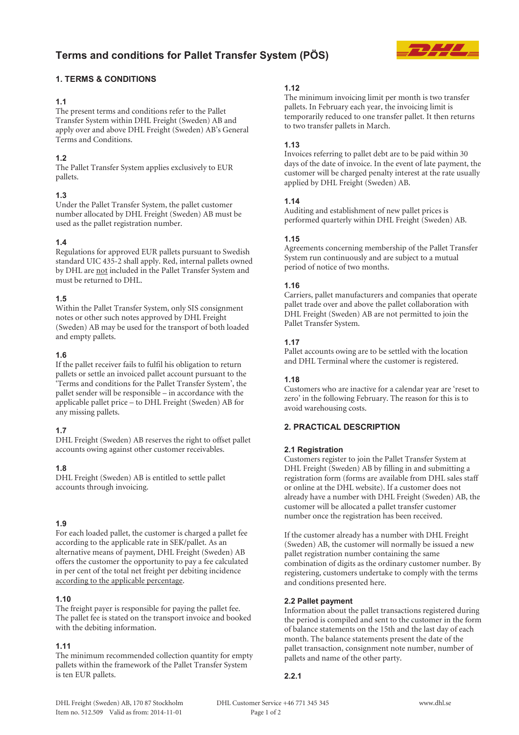# **Terms and conditions for Pallet Transfer System (PÖS)**



# **1. TERMS & CONDITIONS**

## **1.1**

The present terms and conditions refer to the Pallet Transfer System within DHL Freight (Sweden) AB and apply over and above DHL Freight (Sweden) AB's General Terms and Conditions.

## **1.2**

The Pallet Transfer System applies exclusively to EUR pallets.

## **1.3**

Under the Pallet Transfer System, the pallet customer number allocated by DHL Freight (Sweden) AB must be used as the pallet registration number.

## **1.4**

Regulations for approved EUR pallets pursuant to Swedish standard UIC 435-2 shall apply. Red, internal pallets owned by DHL are not included in the Pallet Transfer System and must be returned to DHL.

## **1.5**

Within the Pallet Transfer System, only SIS consignment notes or other such notes approved by DHL Freight (Sweden) AB may be used for the transport of both loaded and empty pallets.

## **1.6**

If the pallet receiver fails to fulfil his obligation to return pallets or settle an invoiced pallet account pursuant to the 'Terms and conditions for the Pallet Transfer System', the pallet sender will be responsible – in accordance with the applicable pallet price – to DHL Freight (Sweden) AB for any missing pallets.

## **1.7**

DHL Freight (Sweden) AB reserves the right to offset pallet accounts owing against other customer receivables.

## **1.8**

DHL Freight (Sweden) AB is entitled to settle pallet accounts through invoicing.

## **1.9**

For each loaded pallet, the customer is charged a pallet fee according to the applicable rate in SEK/pallet. As an alternative means of payment, DHL Freight (Sweden) AB offers the customer the opportunity to pay a fee calculated in per cent of the total net freight per debiting incidence according to the applicable percentage.

## **1.10**

The freight payer is responsible for paying the pallet fee. The pallet fee is stated on the transport invoice and booked with the debiting information.

# **1.11**

The minimum recommended collection quantity for empty pallets within the framework of the Pallet Transfer System is ten EUR pallets.

## **1.12**

The minimum invoicing limit per month is two transfer pallets. In February each year, the invoicing limit is temporarily reduced to one transfer pallet. It then returns to two transfer pallets in March.

## **1.13**

Invoices referring to pallet debt are to be paid within 30 days of the date of invoice. In the event of late payment, the customer will be charged penalty interest at the rate usually applied by DHL Freight (Sweden) AB.

## **1.14**

Auditing and establishment of new pallet prices is performed quarterly within DHL Freight (Sweden) AB.

## **1.15**

Agreements concerning membership of the Pallet Transfer System run continuously and are subject to a mutual period of notice of two months.

## **1.16**

Carriers, pallet manufacturers and companies that operate pallet trade over and above the pallet collaboration with DHL Freight (Sweden) AB are not permitted to join the Pallet Transfer System.

# **1.17**

Pallet accounts owing are to be settled with the location and DHL Terminal where the customer is registered.

## **1.18**

Customers who are inactive for a calendar year are 'reset to zero' in the following February. The reason for this is to avoid warehousing costs.

# **2. PRACTICAL DESCRIPTION**

## **2.1 Registration**

Customers register to join the Pallet Transfer System at DHL Freight (Sweden) AB by filling in and submitting a registration form (forms are available from DHL sales staff or online at the DHL website). If a customer does not already have a number with DHL Freight (Sweden) AB, the customer will be allocated a pallet transfer customer number once the registration has been received.

If the customer already has a number with DHL Freight (Sweden) AB, the customer will normally be issued a new pallet registration number containing the same combination of digits as the ordinary customer number. By registering, customers undertake to comply with the terms and conditions presented here.

## **2.2 Pallet payment**

Information about the pallet transactions registered during the period is compiled and sent to the customer in the form of balance statements on the 15th and the last day of each month. The balance statements present the date of the pallet transaction, consignment note number, number of pallets and name of the other party.